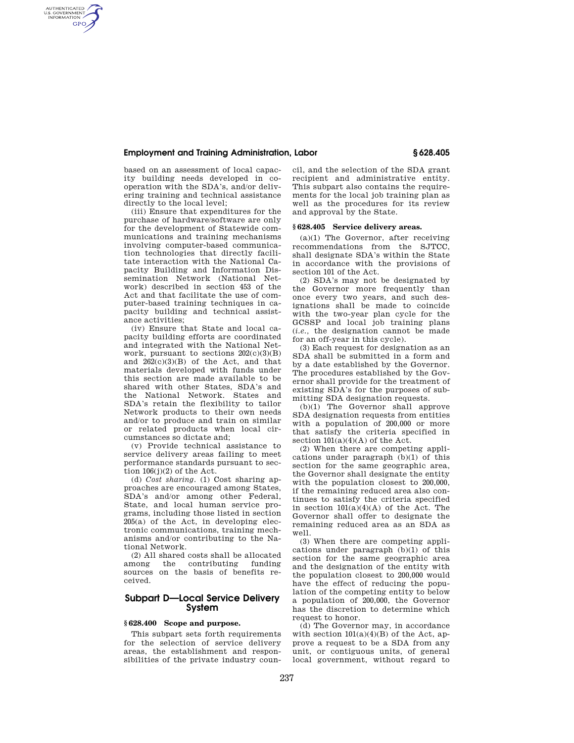## **Employment and Training Administration, Labor § 628.405**

based on an assessment of local capacity building needs developed in cooperation with the SDA's, and/or delivering training and technical assistance directly to the local level;

AUTHENTICATED<br>U.S. GOVERNMENT<br>INFORMATION **GPO** 

> (iii) Ensure that expenditures for the purchase of hardware/software are only for the development of Statewide communications and training mechanisms involving computer-based communication technologies that directly facilitate interaction with the National Capacity Building and Information Dissemination Network (National Network) described in section 453 of the Act and that facilitate the use of computer-based training techniques in capacity building and technical assistance activities;

> (iv) Ensure that State and local capacity building efforts are coordinated and integrated with the National Network, pursuant to sections  $202(c)(3)(B)$ and  $262(c)(3)(B)$  of the Act, and that materials developed with funds under this section are made available to be shared with other States, SDA's and the National Network. States and SDA's retain the flexibility to tailor Network products to their own needs and/or to produce and train on similar or related products when local circumstances so dictate and;

> (v) Provide technical assistance to service delivery areas failing to meet performance standards pursuant to section  $106(j)(2)$  of the Act.

> (d) *Cost sharing.* (1) Cost sharing approaches are encouraged among States, SDA's and/or among other Federal, State, and local human service programs, including those listed in section 205(a) of the Act, in developing electronic communications, training mechanisms and/or contributing to the National Network.

> (2) All shared costs shall be allocated among the contributing funding sources on the basis of benefits received.

# **Subpart D—Local Service Delivery System**

## **§ 628.400 Scope and purpose.**

This subpart sets forth requirements for the selection of service delivery areas, the establishment and responsibilities of the private industry council, and the selection of the SDA grant recipient and administrative entity. This subpart also contains the requirements for the local job training plan as well as the procedures for its review and approval by the State.

#### **§ 628.405 Service delivery areas.**

(a)(1) The Governor, after receiving recommendations from the SJTCC, shall designate SDA's within the State in accordance with the provisions of section 101 of the Act.

(2) SDA's may not be designated by the Governor more frequently than once every two years, and such designations shall be made to coincide with the two-year plan cycle for the GCSSP and local job training plans (*i.e.,* the designation cannot be made for an off-year in this cycle).

(3) Each request for designation as an SDA shall be submitted in a form and by a date established by the Governor. The procedures established by the Governor shall provide for the treatment of existing SDA's for the purposes of submitting SDA designation requests.

(b)(1) The Governor shall approve SDA designation requests from entities with a population of 200,000 or more that satisfy the criteria specified in section  $101(a)(4)(A)$  of the Act.

(2) When there are competing applications under paragraph (b)(1) of this section for the same geographic area, the Governor shall designate the entity with the population closest to 200,000, if the remaining reduced area also continues to satisfy the criteria specified in section  $101(a)(4)(A)$  of the Act. The Governor shall offer to designate the remaining reduced area as an SDA as well.

(3) When there are competing applications under paragraph (b)(1) of this section for the same geographic area and the designation of the entity with the population closest to 200,000 would have the effect of reducing the population of the competing entity to below a population of 200,000, the Governor has the discretion to determine which request to honor.

(d) The Governor may, in accordance with section  $101(a)(4)(B)$  of the Act, approve a request to be a SDA from any unit, or contiguous units, of general local government, without regard to